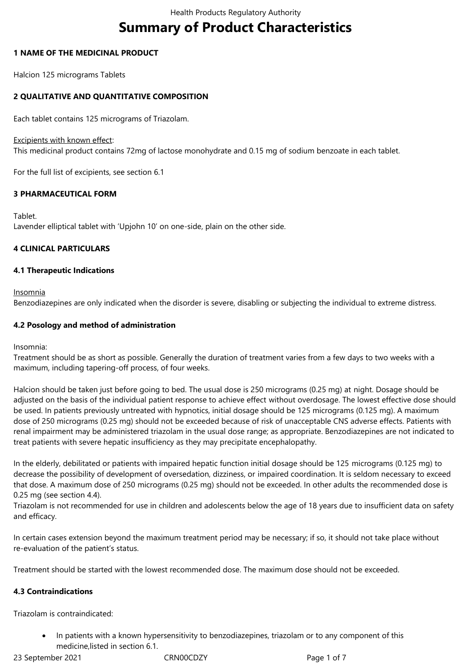# **Summary of Product Characteristics**

## **1 NAME OF THE MEDICINAL PRODUCT**

Halcion 125 micrograms Tablets

## **2 QUALITATIVE AND QUANTITATIVE COMPOSITION**

Each tablet contains 125 micrograms of Triazolam.

## Excipients with known effect:

This medicinal product contains 72mg of lactose monohydrate and 0.15 mg of sodium benzoate in each tablet.

For the full list of excipients, see section 6.1

## **3 PHARMACEUTICAL FORM**

Tablet. Lavender elliptical tablet with 'Upjohn 10' on one-side, plain on the other side.

## **4 CLINICAL PARTICULARS**

## **4.1 Therapeutic Indications**

Insomnia

Benzodiazepines are only indicated when the disorder is severe, disabling or subjecting the individual to extreme distress.

## **4.2 Posology and method of administration**

Insomnia:

Treatment should be as short as possible. Generally the duration of treatment varies from a few days to two weeks with a maximum, including tapering-off process, of four weeks.

Halcion should be taken just before going to bed. The usual dose is 250 micrograms (0.25 mg) at night. Dosage should be adjusted on the basis of the individual patient response to achieve effect without overdosage. The lowest effective dose should be used. In patients previously untreated with hypnotics, initial dosage should be 125 micrograms (0.125 mg). A maximum dose of 250 micrograms (0.25 mg) should not be exceeded because of risk of unacceptable CNS adverse effects. Patients with renal impairment may be administered triazolam in the usual dose range; as appropriate. Benzodiazepines are not indicated to treat patients with severe hepatic insufficiency as they may precipitate encephalopathy.

In the elderly, debilitated or patients with impaired hepatic function initial dosage should be 125 micrograms (0.125 mg) to decrease the possibility of development of oversedation, dizziness, or impaired coordination. It is seldom necessary to exceed that dose. A maximum dose of 250 micrograms (0.25 mg) should not be exceeded. In other adults the recommended dose is 0.25 mg (see section 4.4).

Triazolam is not recommended for use in children and adolescents below the age of 18 years due to insufficient data on safety and efficacy.

In certain cases extension beyond the maximum treatment period may be necessary; if so, it should not take place without re-evaluation of the patient's status.

Treatment should be started with the lowest recommended dose. The maximum dose should not be exceeded.

## **4.3 Contraindications**

Triazolam is contraindicated:

 In patients with a known hypersensitivity to benzodiazepines, triazolam or to any component of this medicine,listed in section 6.1.

23 September 2021 CRN00CDZY Page 1 of 7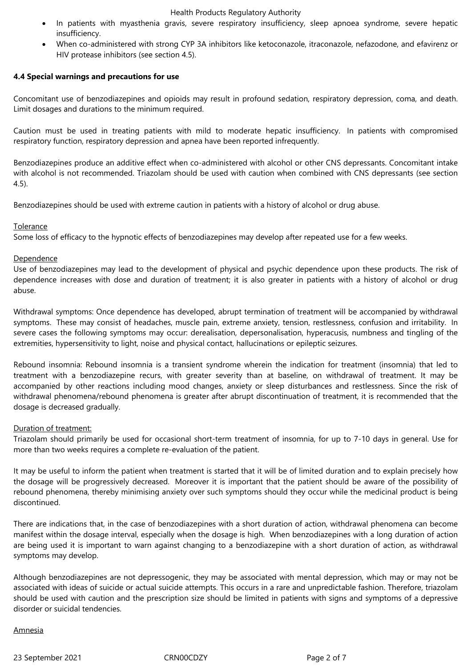#### Health Products Regulatory Authority

- In patients with myasthenia gravis, severe respiratory insufficiency, sleep apnoea syndrome, severe hepatic insufficiency.
- When co-administered with strong CYP 3A inhibitors like ketoconazole, itraconazole, nefazodone, and efavirenz or HIV protease inhibitors (see section 4.5).

## **4.4 Special warnings and precautions for use**

Concomitant use of benzodiazepines and opioids may result in profound sedation, respiratory depression, coma, and death. Limit dosages and durations to the minimum required.

Caution must be used in treating patients with mild to moderate hepatic insufficiency. In patients with compromised respiratory function, respiratory depression and apnea have been reported infrequently.

Benzodiazepines produce an additive effect when co-administered with alcohol or other CNS depressants. Concomitant intake with alcohol is not recommended. Triazolam should be used with caution when combined with CNS depressants (see section 4.5).

Benzodiazepines should be used with extreme caution in patients with a history of alcohol or drug abuse.

#### Tolerance

Some loss of efficacy to the hypnotic effects of benzodiazepines may develop after repeated use for a few weeks.

## Dependence

Use of benzodiazepines may lead to the development of physical and psychic dependence upon these products. The risk of dependence increases with dose and duration of treatment; it is also greater in patients with a history of alcohol or drug abuse.

Withdrawal symptoms: Once dependence has developed, abrupt termination of treatment will be accompanied by withdrawal symptoms. These may consist of headaches, muscle pain, extreme anxiety, tension, restlessness, confusion and irritability. In severe cases the following symptoms may occur: derealisation, depersonalisation, hyperacusis, numbness and tingling of the extremities, hypersensitivity to light, noise and physical contact, hallucinations or epileptic seizures.

Rebound insomnia: Rebound insomnia is a transient syndrome wherein the indication for treatment (insomnia) that led to treatment with a benzodiazepine recurs, with greater severity than at baseline, on withdrawal of treatment. It may be accompanied by other reactions including mood changes, anxiety or sleep disturbances and restlessness. Since the risk of withdrawal phenomena/rebound phenomena is greater after abrupt discontinuation of treatment, it is recommended that the dosage is decreased gradually.

#### Duration of treatment:

Triazolam should primarily be used for occasional short-term treatment of insomnia, for up to 7-10 days in general. Use for more than two weeks requires a complete re-evaluation of the patient.

It may be useful to inform the patient when treatment is started that it will be of limited duration and to explain precisely how the dosage will be progressively decreased. Moreover it is important that the patient should be aware of the possibility of rebound phenomena, thereby minimising anxiety over such symptoms should they occur while the medicinal product is being discontinued.

There are indications that, in the case of benzodiazepines with a short duration of action, withdrawal phenomena can become manifest within the dosage interval, especially when the dosage is high. When benzodiazepines with a long duration of action are being used it is important to warn against changing to a benzodiazepine with a short duration of action, as withdrawal symptoms may develop.

Although benzodiazepines are not depressogenic, they may be associated with mental depression, which may or may not be associated with ideas of suicide or actual suicide attempts. This occurs in a rare and unpredictable fashion. Therefore, triazolam should be used with caution and the prescription size should be limited in patients with signs and symptoms of a depressive disorder or suicidal tendencies.

## Amnesia

23 September 2021 CRN00CDZY Page 2 of 7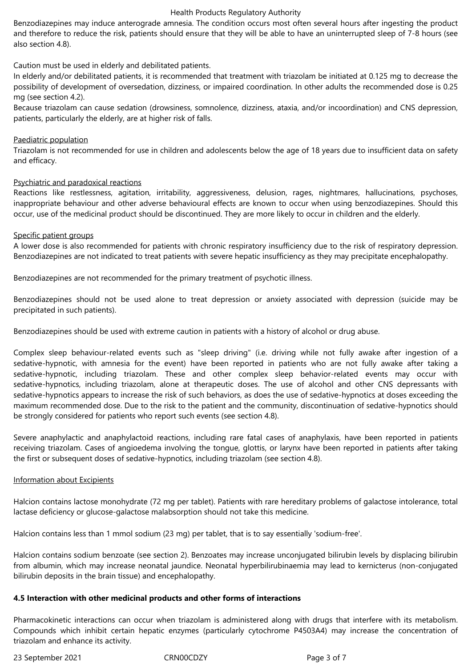#### Health Products Regulatory Authority

Benzodiazepines may induce anterograde amnesia. The condition occurs most often several hours after ingesting the product and therefore to reduce the risk, patients should ensure that they will be able to have an uninterrupted sleep of 7-8 hours (see also section 4.8).

Caution must be used in elderly and debilitated patients.

In elderly and/or debilitated patients, it is recommended that treatment with triazolam be initiated at 0.125 mg to decrease the possibility of development of oversedation, dizziness, or impaired coordination. In other adults the recommended dose is 0.25 mg (see section 4.2).

Because triazolam can cause sedation (drowsiness, somnolence, dizziness, ataxia, and/or incoordination) and CNS depression, patients, particularly the elderly, are at higher risk of falls*.* 

#### Paediatric population

Triazolam is not recommended for use in children and adolescents below the age of 18 years due to insufficient data on safety and efficacy.

#### Psychiatric and paradoxical reactions

Reactions like restlessness, agitation, irritability, aggressiveness, delusion, rages, nightmares, hallucinations, psychoses, inappropriate behaviour and other adverse behavioural effects are known to occur when using benzodiazepines. Should this occur, use of the medicinal product should be discontinued. They are more likely to occur in children and the elderly.

#### Specific patient groups

A lower dose is also recommended for patients with chronic respiratory insufficiency due to the risk of respiratory depression. Benzodiazepines are not indicated to treat patients with severe hepatic insufficiency as they may precipitate encephalopathy.

Benzodiazepines are not recommended for the primary treatment of psychotic illness.

Benzodiazepines should not be used alone to treat depression or anxiety associated with depression (suicide may be precipitated in such patients).

Benzodiazepines should be used with extreme caution in patients with a history of alcohol or drug abuse.

Complex sleep behaviour-related events such as "sleep driving" (i.e. driving while not fully awake after ingestion of a sedative-hypnotic, with amnesia for the event) have been reported in patients who are not fully awake after taking a sedative-hypnotic, including triazolam. These and other complex sleep behavior-related events may occur with sedative-hypnotics, including triazolam, alone at therapeutic doses. The use of alcohol and other CNS depressants with sedative-hypnotics appears to increase the risk of such behaviors, as does the use of sedative-hypnotics at doses exceeding the maximum recommended dose. Due to the risk to the patient and the community, discontinuation of sedative-hypnotics should be strongly considered for patients who report such events (see section 4.8).

Severe anaphylactic and anaphylactoid reactions, including rare fatal cases of anaphylaxis, have been reported in patients receiving triazolam. Cases of angioedema involving the tongue, glottis, or larynx have been reported in patients after taking the first or subsequent doses of sedative-hypnotics, including triazolam (see section 4.8).

#### Information about Excipients

Halcion contains lactose monohydrate (72 mg per tablet). Patients with rare hereditary problems of galactose intolerance, total lactase deficiency or glucose-galactose malabsorption should not take this medicine.

Halcion contains less than 1 mmol sodium (23 mg) per tablet, that is to say essentially 'sodium-free'.

Halcion contains sodium benzoate (see section 2). Benzoates may increase unconjugated bilirubin levels by displacing bilirubin from albumin, which may increase neonatal jaundice. Neonatal hyperbilirubinaemia may lead to kernicterus (non-conjugated bilirubin deposits in the brain tissue) and encephalopathy.

#### **4.5 Interaction with other medicinal products and other forms of interactions**

Pharmacokinetic interactions can occur when triazolam is administered along with drugs that interfere with its metabolism. Compounds which inhibit certain hepatic enzymes (particularly cytochrome P4503A4) may increase the concentration of triazolam and enhance its activity.

23 September 2021 CRN00CDZY Page 3 of 7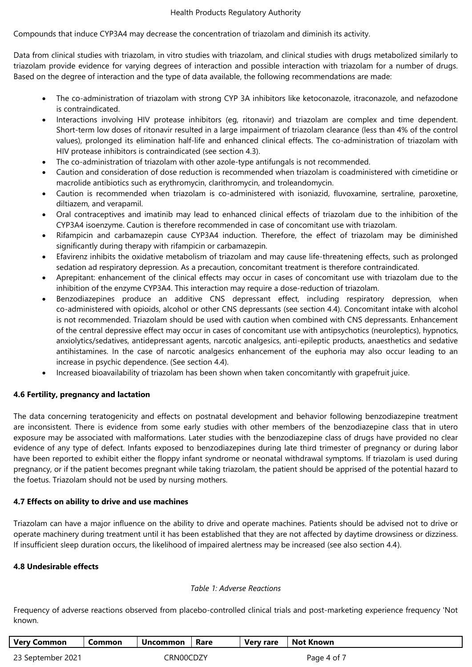Compounds that induce CYP3A4 may decrease the concentration of triazolam and diminish its activity.

Data from clinical studies with triazolam, in vitro studies with triazolam, and clinical studies with drugs metabolized similarly to triazolam provide evidence for varying degrees of interaction and possible interaction with triazolam for a number of drugs. Based on the degree of interaction and the type of data available, the following recommendations are made:

- The co-administration of triazolam with strong CYP 3A inhibitors like ketoconazole, itraconazole, and nefazodone is contraindicated.
- Interactions involving HIV protease inhibitors (eg, ritonavir) and triazolam are complex and time dependent. Short-term low doses of ritonavir resulted in a large impairment of triazolam clearance (less than 4% of the control values), prolonged its elimination half-life and enhanced clinical effects. The co-administration of triazolam with HIV protease inhibitors is contraindicated (see section 4.3).
- The co-administration of triazolam with other azole-type antifungals is not recommended.
- Caution and consideration of dose reduction is recommended when triazolam is coadministered with cimetidine or macrolide antibiotics such as erythromycin, clarithromycin, and troleandomycin.
- Caution is recommended when triazolam is co-administered with isoniazid, fluvoxamine, sertraline, paroxetine, diltiazem, and verapamil.
- Oral contraceptives and imatinib may lead to enhanced clinical effects of triazolam due to the inhibition of the CYP3A4 isoenzyme. Caution is therefore recommended in case of concomitant use with triazolam.
- Rifampicin and carbamazepin cause CYP3A4 induction. Therefore, the effect of triazolam may be diminished significantly during therapy with rifampicin or carbamazepin.
- Efavirenz inhibits the oxidative metabolism of triazolam and may cause life-threatening effects, such as prolonged sedation ad respiratory depression. As a precaution, concomitant treatment is therefore contraindicated.
- Aprepitant: enhancement of the clinical effects may occur in cases of concomitant use with triazolam due to the inhibition of the enzyme CYP3A4. This interaction may require a dose-reduction of triazolam.
- Benzodiazepines produce an additive CNS depressant effect, including respiratory depression, when co-administered with opioids, alcohol or other CNS depressants (see section 4.4). Concomitant intake with alcohol is not recommended. Triazolam should be used with caution when combined with CNS depressants. Enhancement of the central depressive effect may occur in cases of concomitant use with antipsychotics (neuroleptics), hypnotics, anxiolytics/sedatives, antidepressant agents, narcotic analgesics, anti-epileptic products, anaesthetics and sedative antihistamines. In the case of narcotic analgesics enhancement of the euphoria may also occur leading to an increase in psychic dependence. (See section 4.4).
- Increased bioavailability of triazolam has been shown when taken concomitantly with grapefruit juice*.*

## **4.6 Fertility, pregnancy and lactation**

The data concerning teratogenicity and effects on postnatal development and behavior following benzodiazepine treatment are inconsistent. There is evidence from some early studies with other members of the benzodiazepine class that in utero exposure may be associated with malformations. Later studies with the benzodiazepine class of drugs have provided no clear evidence of any type of defect. Infants exposed to benzodiazepines during late third trimester of pregnancy or during labor have been reported to exhibit either the floppy infant syndrome or neonatal withdrawal symptoms. If triazolam is used during pregnancy, or if the patient becomes pregnant while taking triazolam, the patient should be apprised of the potential hazard to the foetus. Triazolam should not be used by nursing mothers.

#### **4.7 Effects on ability to drive and use machines**

Triazolam can have a major influence on the ability to drive and operate machines. Patients should be advised not to drive or operate machinery during treatment until it has been established that they are not affected by daytime drowsiness or dizziness. If insufficient sleep duration occurs, the likelihood of impaired alertness may be increased (see also section 4.4).

#### **4.8 Undesirable effects**

#### *Table 1: Adverse Reactions*

Frequency of adverse reactions observed from placebo-controlled clinical trials and post-marketing experience frequency 'Not known.

| <b>Very Common</b> | Common | Uncommon  | Rare | Very rare | <b>Not Known</b> |
|--------------------|--------|-----------|------|-----------|------------------|
| 23 September 2021  |        | CRN00CDZY |      |           | Page 4 of 7      |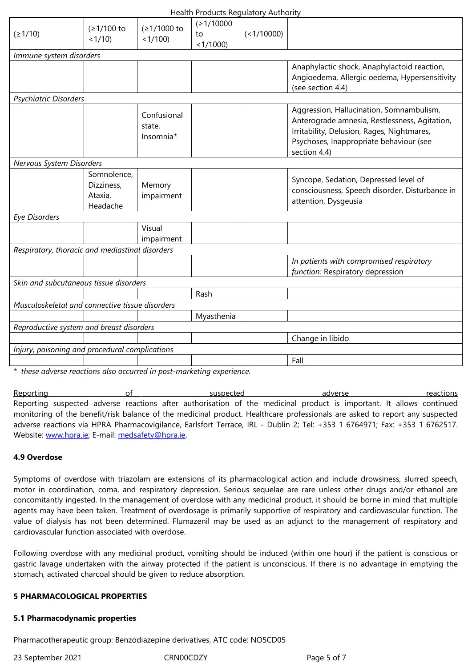|                                                 | <u>טו לו ح</u>                                   | 517100)                            | < 1/1000   |                                                                                                                                                                                                    |  |  |  |  |
|-------------------------------------------------|--------------------------------------------------|------------------------------------|------------|----------------------------------------------------------------------------------------------------------------------------------------------------------------------------------------------------|--|--|--|--|
| Immune system disorders                         |                                                  |                                    |            |                                                                                                                                                                                                    |  |  |  |  |
|                                                 |                                                  |                                    |            | Anaphylactic shock, Anaphylactoid reaction,<br>Angioedema, Allergic oedema, Hypersensitivity<br>(see section 4.4)                                                                                  |  |  |  |  |
| Psychiatric Disorders                           |                                                  |                                    |            |                                                                                                                                                                                                    |  |  |  |  |
|                                                 |                                                  | Confusional<br>state,<br>Insomnia* |            | Aggression, Hallucination, Somnambulism,<br>Anterograde amnesia, Restlessness, Agitation,<br>Irritability, Delusion, Rages, Nightmares,<br>Psychoses, Inappropriate behaviour (see<br>section 4.4) |  |  |  |  |
| Nervous System Disorders                        |                                                  |                                    |            |                                                                                                                                                                                                    |  |  |  |  |
|                                                 | Somnolence,<br>Dizziness,<br>Ataxia,<br>Headache | Memory<br>impairment               |            | Syncope, Sedation, Depressed level of<br>consciousness, Speech disorder, Disturbance in<br>attention, Dysgeusia                                                                                    |  |  |  |  |
| <b>Eye Disorders</b>                            |                                                  |                                    |            |                                                                                                                                                                                                    |  |  |  |  |
|                                                 |                                                  | Visual<br>impairment               |            |                                                                                                                                                                                                    |  |  |  |  |
| Respiratory, thoracic and mediastinal disorders |                                                  |                                    |            |                                                                                                                                                                                                    |  |  |  |  |
|                                                 |                                                  |                                    |            | In patients with compromised respiratory<br>function: Respiratory depression                                                                                                                       |  |  |  |  |
| Skin and subcutaneous tissue disorders          |                                                  |                                    |            |                                                                                                                                                                                                    |  |  |  |  |
|                                                 |                                                  |                                    | Rash       |                                                                                                                                                                                                    |  |  |  |  |
| Musculoskeletal and connective tissue disorders |                                                  |                                    |            |                                                                                                                                                                                                    |  |  |  |  |
|                                                 |                                                  |                                    | Myasthenia |                                                                                                                                                                                                    |  |  |  |  |
| Reproductive system and breast disorders        |                                                  |                                    |            |                                                                                                                                                                                                    |  |  |  |  |
|                                                 |                                                  |                                    |            | Change in libido                                                                                                                                                                                   |  |  |  |  |
| Injury, poisoning and procedural complications  |                                                  |                                    |            |                                                                                                                                                                                                    |  |  |  |  |
|                                                 |                                                  |                                    |            | Fall                                                                                                                                                                                               |  |  |  |  |

*\* these adverse reactions also occurred in post-marketing experience.*

Reporting reactions of suspected adverse reactions reactions Reporting suspected adverse reactions after authorisation of the medicinal product is important. It allows continued monitoring of the benefit/risk balance of the medicinal product. Healthcare professionals are asked to report any suspected adverse reactions via HPRA Pharmacovigilance, Earlsfort Terrace, IRL - Dublin 2; Tel: +353 1 6764971; Fax: +353 1 6762517. Website: www.hpra.ie; E-mail: medsafety@hpra.ie.

#### **4.9 Overdose**

Symptoms of [overdo](http://www.hpra.ie/)se with [triazolam](mailto:medsafety@hpra.ie) are extensions of its pharmacological action and include drowsiness, slurred speech, motor in coordination, coma, and respiratory depression. Serious sequelae are rare unless other drugs and/or ethanol are concomitantly ingested. In the management of overdose with any medicinal product, it should be borne in mind that multiple agents may have been taken. Treatment of overdosage is primarily supportive of respiratory and cardiovascular function. The value of dialysis has not been determined. Flumazenil may be used as an adjunct to the management of respiratory and cardiovascular function associated with overdose.

Following overdose with any medicinal product, vomiting should be induced (within one hour) if the patient is conscious or gastric lavage undertaken with the airway protected if the patient is unconscious. If there is no advantage in emptying the stomach, activated charcoal should be given to reduce absorption.

#### **5 PHARMACOLOGICAL PROPERTIES**

#### **5.1 Pharmacodynamic properties**

Pharmacotherapeutic group: Benzodiazepine derivatives, ATC code: NO5CD05

23 September 2021 CRN00CDZY Page 5 of 7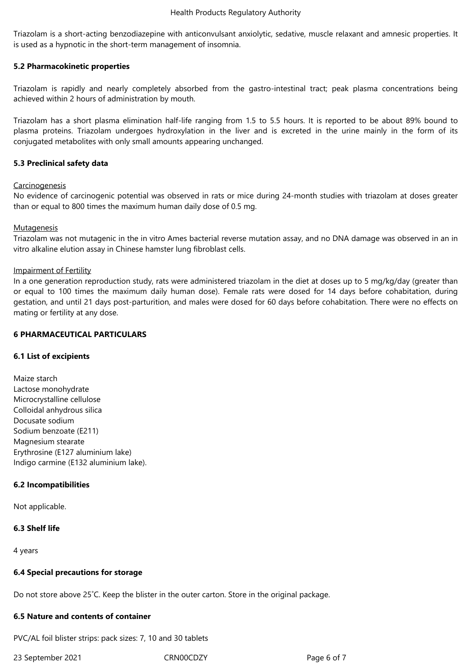Triazolam is a short-acting benzodiazepine with anticonvulsant anxiolytic, sedative, muscle relaxant and amnesic properties. It is used as a hypnotic in the short-term management of insomnia.

## **5.2 Pharmacokinetic properties**

Triazolam is rapidly and nearly completely absorbed from the gastro-intestinal tract; peak plasma concentrations being achieved within 2 hours of administration by mouth.

Triazolam has a short plasma elimination half-life ranging from 1.5 to 5.5 hours. It is reported to be about 89% bound to plasma proteins. Triazolam undergoes hydroxylation in the liver and is excreted in the urine mainly in the form of its conjugated metabolites with only small amounts appearing unchanged.

## **5.3 Preclinical safety data**

## **Carcinogenesis**

No evidence of carcinogenic potential was observed in rats or mice during 24-month studies with triazolam at doses greater than or equal to 800 times the maximum human daily dose of 0.5 mg.

#### **Mutagenesis**

Triazolam was not mutagenic in the in vitro Ames bacterial reverse mutation assay, and no DNA damage was observed in an in vitro alkaline elution assay in Chinese hamster lung fibroblast cells.

#### Impairment of Fertility

In a one generation reproduction study, rats were administered triazolam in the diet at doses up to 5 mg/kg/day (greater than or equal to 100 times the maximum daily human dose). Female rats were dosed for 14 days before cohabitation, during gestation, and until 21 days post-parturition, and males were dosed for 60 days before cohabitation. There were no effects on mating or fertility at any dose.

#### **6 PHARMACEUTICAL PARTICULARS**

#### **6.1 List of excipients**

Maize starch Lactose monohydrate Microcrystalline cellulose Colloidal anhydrous silica Docusate sodium Sodium benzoate (E211) Magnesium stearate Erythrosine (E127 aluminium lake) Indigo carmine (E132 aluminium lake).

#### **6.2 Incompatibilities**

Not applicable.

#### **6.3 Shelf life**

4 years

#### **6.4 Special precautions for storage**

Do not store above 25˚C. Keep the blister in the outer carton. Store in the original package.

## **6.5 Nature and contents of container**

PVC/AL foil blister strips: pack sizes: 7, 10 and 30 tablets

23 September 2021 CRN00CDZY Page 6 of 7